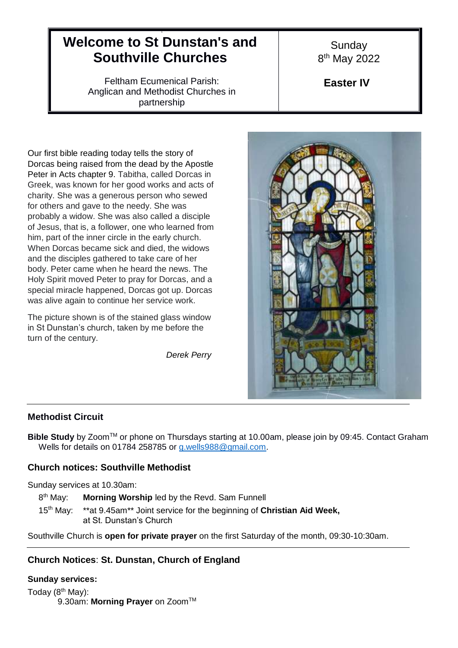# **Welcome to St Dunstan's and Southville Churches**

9

Feltham Ecumenical Parish: Anglican and Methodist Churches in partnership

Our first bible reading today tells the story of Dorcas being raised from the dead by the Apostle Peter in Acts chapter 9. Tabitha, called Dorcas in Greek, was known for her good works and acts of charity. She was a generous person who sewed for others and gave to the needy. She was probably a widow. She was also called a disciple of Jesus, that is, a follower, one who learned from him, part of the inner circle in the early church. When Dorcas became sick and died, the widows and the disciples gathered to take care of her body. Peter came when he heard the news. The Holy Spirit moved Peter to pray for Dorcas, and a special miracle happened, Dorcas got up. Dorcas was alive again to continue her service work.

The picture shown is of the stained glass window in St Dunstan's church, taken by me before the turn of the century.

*Derek Perry*

**Sunday** 8<sup>th</sup> May 2022

**Easter IV**



## **Methodist Circuit**

**Bible Study** by Zoom™ or phone on Thursdays starting at 10.00am, please join by 09:45. Contact Graham Wells for details on 01784 258785 or [g.wells988@gmail.com.](mailto:g.wells988@gmail.com)

## **Church notices: Southville Methodist**

Sunday services at 10.30am:

8<sup>th</sup> May: Morning Worship led by the Revd. Sam Funnell

 $15<sup>th</sup>$  Mav: \*\*at 9.45am\*\* Joint service for the beginning of Christian Aid Week, at St. Dunstan's Church

Southville Church is **open for private prayer** on the first Saturday of the month, 09:30-10:30am.

# **Church Notices**: **St. Dunstan, Church of England**

## **Sunday services:**

Today  $(8<sup>th</sup>$  May): 9.30am: Morning Prayer on Zoom<sup>™</sup>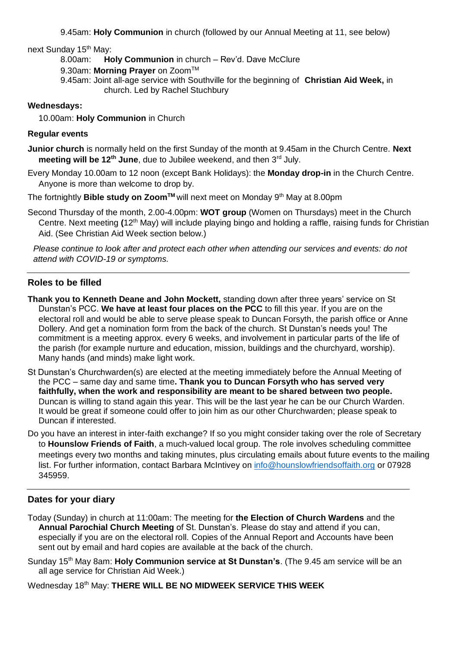9.45am: **Holy Communion** in church (followed by our Annual Meeting at 11, see below)

next Sunday 15th May:

8.00am: **Holy Communion** in church – Rev'd. Dave McClure

9.30am: Morning Prayer on Zoom<sup>™</sup>

9.45am: Joint all-age service with Southville for the beginning of **Christian Aid Week,** in church. Led by Rachel Stuchbury

## **Wednesdays:**

10.00am: **Holy Communion** in Church

## **Regular events**

**Junior church** is normally held on the first Sunday of the month at 9.45am in the Church Centre. **Next meeting will be 12<sup>th</sup> June**, due to Jubilee weekend, and then 3<sup>rd</sup> July.

Every Monday 10.00am to 12 noon (except Bank Holidays): the **Monday drop-in** in the Church Centre. Anyone is more than welcome to drop by.

The fortnightly **Bible study on Zoom™** will next meet on Monday 9<sup>th</sup> May at 8.00pm

Second Thursday of the month, 2.00-4.00pm: **WOT group** (Women on Thursdays) meet in the Church Centre. Next meeting **(**12th May) will include playing bingo and holding a raffle, raising funds for Christian Aid. (See Christian Aid Week section below.)

*Please continue to look after and protect each other when attending our services and events: do not attend with COVID-19 or symptoms.*

## **Roles to be filled**

- **Thank you to Kenneth Deane and John Mockett,** standing down after three years' service on St Dunstan's PCC. **We have at least four places on the PCC** to fill this year. If you are on the electoral roll and would be able to serve please speak to Duncan Forsyth, the parish office or Anne Dollery. And get a nomination form from the back of the church. St Dunstan's needs you! The commitment is a meeting approx. every 6 weeks, and involvement in particular parts of the life of the parish (for example nurture and education, mission, buildings and the churchyard, worship). Many hands (and minds) make light work.
- St Dunstan's Churchwarden(s) are elected at the meeting immediately before the Annual Meeting of the PCC – same day and same time**. Thank you to Duncan Forsyth who has served very faithfully, when the work and responsibility are meant to be shared between two people.**  Duncan is willing to stand again this year. This will be the last year he can be our Church Warden. It would be great if someone could offer to join him as our other Churchwarden; please speak to Duncan if interested.
- Do you have an interest in inter-faith exchange? If so you might consider taking over the role of Secretary to **Hounslow Friends of Faith**, a much-valued local group. The role involves scheduling committee meetings every two months and taking minutes, plus circulating emails about future events to the mailing list. For further information, contact Barbara McIntivey on [info@hounslowfriendsoffaith.org](mailto:info@hounslowfriendsoffaith.org) or 07928 345959.

## **Dates for your diary**

- Today (Sunday) in church at 11:00am: The meeting for **the Election of Church Wardens** and the **Annual Parochial Church Meeting** of St. Dunstan's. Please do stay and attend if you can, especially if you are on the electoral roll. Copies of the Annual Report and Accounts have been sent out by email and hard copies are available at the back of the church.
- Sunday 15<sup>th</sup> May 8am: **Holy Communion service at St Dunstan's**. (The 9.45 am service will be an all age service for Christian Aid Week.)

Wednesday 18th May: **THERE WILL BE NO MIDWEEK SERVICE THIS WEEK**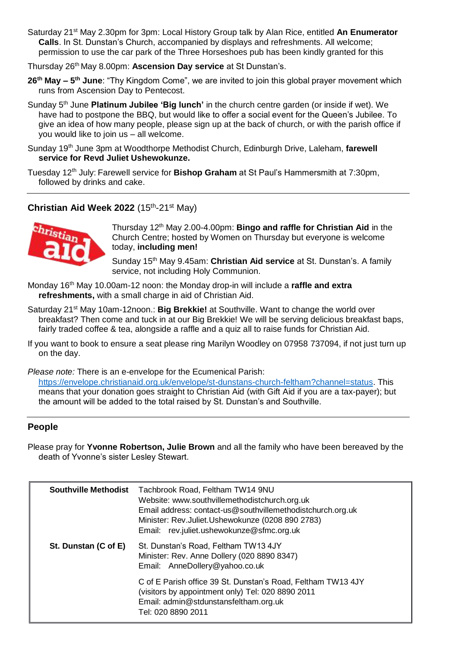- Saturday 21st May 2.30pm for 3pm: Local History Group talk by Alan Rice, entitled **An Enumerator Calls**. In St. Dunstan's Church, accompanied by displays and refreshments. All welcome; permission to use the car park of the Three Horseshoes pub has been kindly granted for this
- Thursday 26th May 8.00pm: **Ascension Day service** at St Dunstan's.
- **26th May – 5 th June**: "Thy Kingdom Come", we are invited to join this global prayer movement which runs from Ascension Day to Pentecost.
- Sunday 5th June **Platinum Jubilee 'Big lunch'** in the church centre garden (or inside if wet). We have had to postpone the BBQ, but would like to offer a social event for the Queen's Jubilee. To give an idea of how many people, please sign up at the back of church, or with the parish office if you would like to join us – all welcome.
- Sunday 19th June 3pm at Woodthorpe Methodist Church, Edinburgh Drive, Laleham, **farewell service for Revd Juliet Ushewokunze.**
- Tuesday 12th July: Farewell service for **Bishop Graham** at St Paul's Hammersmith at 7:30pm, followed by drinks and cake.

## Christian Aid Week 2022 (15<sup>th</sup>-21<sup>st</sup> May)



Thursday 12th May 2.00-4.00pm: **Bingo and raffle for Christian Aid** in the Church Centre; hosted by Women on Thursday but everyone is welcome today, **including men!**

Sunday 15<sup>th</sup> May 9.45am: **Christian Aid service** at St. Dunstan's. A family service, not including Holy Communion.

- Monday 16<sup>th</sup> May 10.00am-12 noon: the Monday drop-in will include a **raffle and extra refreshments,** with a small charge in aid of Christian Aid.
- Saturday 21<sup>st</sup> May 10am-12noon.: **Big Brekkie!** at Southville. Want to change the world over breakfast? Then come and tuck in at our Big Brekkie! We will be serving delicious breakfast baps, fairly traded coffee & tea, alongside a raffle and a quiz all to raise funds for Christian Aid.
- If you want to book to ensure a seat please ring Marilyn Woodley on 07958 737094, if not just turn up on the day.

*Please note:* There is an e-envelope for the Ecumenical Parish:

[https://envelope.christianaid.org.uk/envelope/st-dunstans-church-feltham?channel=status.](https://envelope.christianaid.org.uk/envelope/st-dunstans-church-feltham?channel=status) This means that your donation goes straight to Christian Aid (with Gift Aid if you are a tax-payer); but the amount will be added to the total raised by St. Dunstan's and Southville.

## **People**

Please pray for **Yvonne Robertson, Julie Brown** and all the family who have been bereaved by the death of Yvonne's sister Lesley Stewart.

| <b>Southville Methodist</b> | Tachbrook Road, Feltham TW14 9NU<br>Website: www.southvillemethodistchurch.org.uk<br>Email address: contact-us@southvillemethodistchurch.org.uk<br>Minister: Rev.Juliet.Ushewokunze (0208 890 2783)<br>Email: rev.juliet.ushewokunze@sfmc.org.uk |
|-----------------------------|--------------------------------------------------------------------------------------------------------------------------------------------------------------------------------------------------------------------------------------------------|
| St. Dunstan (C of E)        | St. Dunstan's Road, Feltham TW13 4JY<br>Minister: Rev. Anne Dollery (020 8890 8347)<br>Email: AnneDollery@yahoo.co.uk                                                                                                                            |
|                             | C of E Parish office 39 St. Dunstan's Road, Feltham TW13 4JY<br>(visitors by appointment only) Tel: 020 8890 2011<br>Email: admin@stdunstansfeltham.org.uk<br>Tel: 020 8890 2011                                                                 |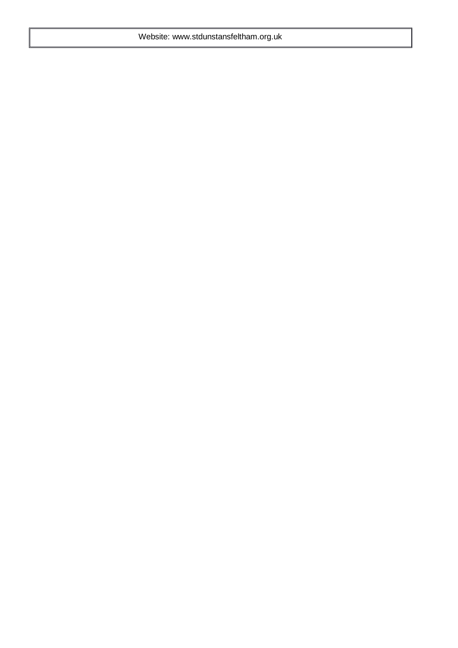Website: www.stdunstansfeltham.org.uk